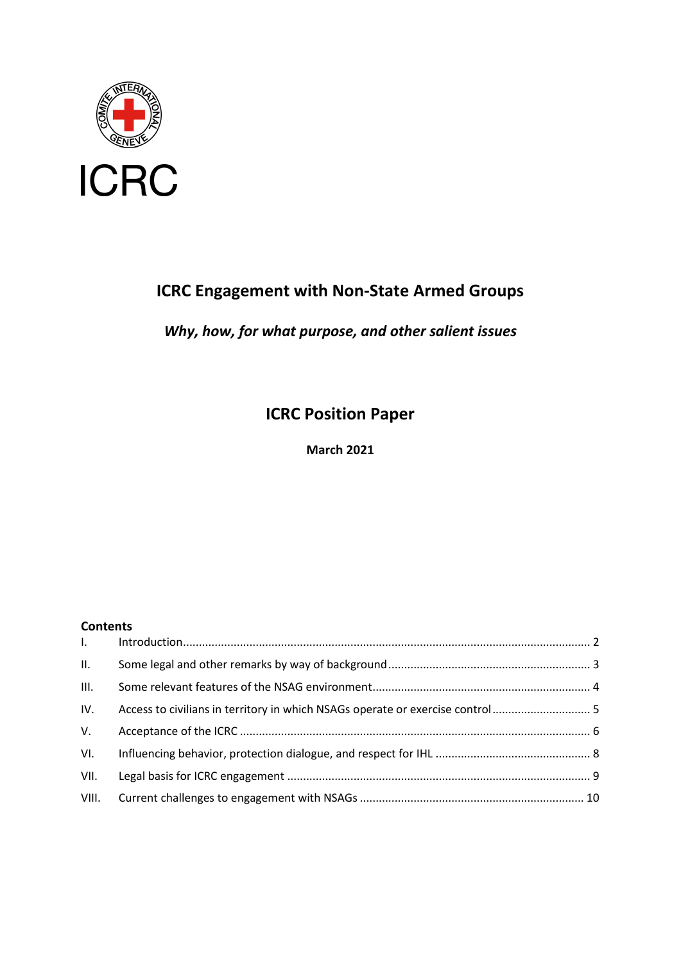



# **ICRC Engagement with Non-State Armed Groups**

*Why, how, for what purpose, and other salient issues*

**ICRC Position Paper**

**March 2021**

#### **Contents**

| $L = 1$ |                                                                             |  |
|---------|-----------------------------------------------------------------------------|--|
| II.     |                                                                             |  |
| III.    |                                                                             |  |
| IV.     | Access to civilians in territory in which NSAGs operate or exercise control |  |
| V.      |                                                                             |  |
| VI.     |                                                                             |  |
| VII.    |                                                                             |  |
|         |                                                                             |  |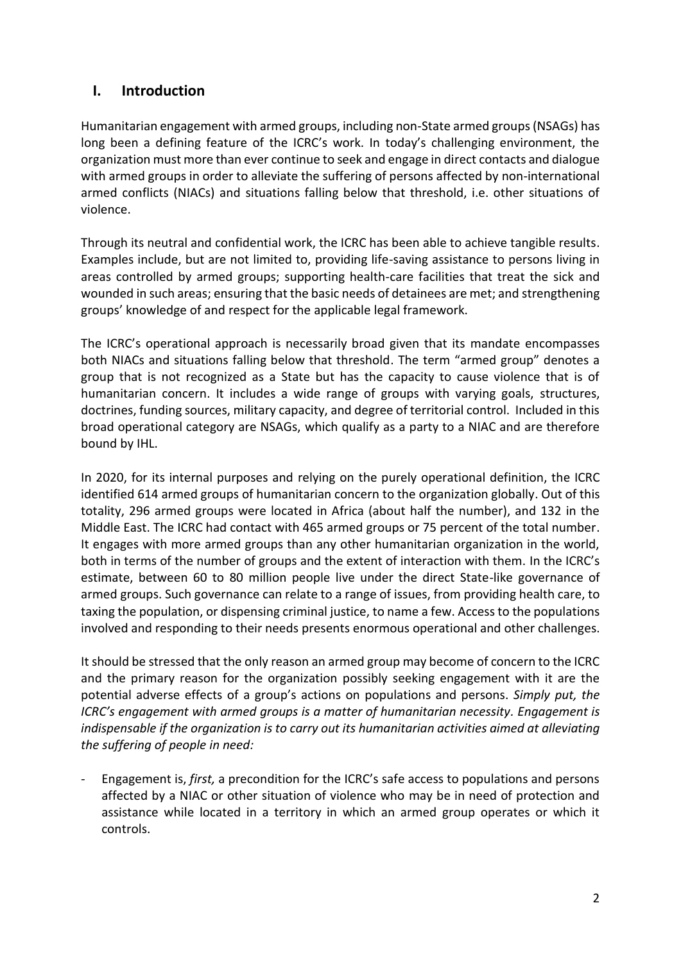## <span id="page-1-0"></span>**I. Introduction**

Humanitarian engagement with armed groups, including non-State armed groups (NSAGs) has long been a defining feature of the ICRC's work. In today's challenging environment, the organization must more than ever continue to seek and engage in direct contacts and dialogue with armed groups in order to alleviate the suffering of persons affected by non-international armed conflicts (NIACs) and situations falling below that threshold, i.e. other situations of violence.

Through its neutral and confidential work, the ICRC has been able to achieve tangible results. Examples include, but are not limited to, providing life-saving assistance to persons living in areas controlled by armed groups; supporting health-care facilities that treat the sick and wounded in such areas; ensuring that the basic needs of detainees are met; and strengthening groups' knowledge of and respect for the applicable legal framework.

The ICRC's operational approach is necessarily broad given that its mandate encompasses both NIACs and situations falling below that threshold. The term "armed group" denotes a group that is not recognized as a State but has the capacity to cause violence that is of humanitarian concern. It includes a wide range of groups with varying goals, structures, doctrines, funding sources, military capacity, and degree of territorial control. Included in this broad operational category are NSAGs, which qualify as a party to a NIAC and are therefore bound by IHL.

In 2020, for its internal purposes and relying on the purely operational definition, the ICRC identified 614 armed groups of humanitarian concern to the organization globally. Out of this totality, 296 armed groups were located in Africa (about half the number), and 132 in the Middle East. The ICRC had contact with 465 armed groups or 75 percent of the total number. It engages with more armed groups than any other humanitarian organization in the world, both in terms of the number of groups and the extent of interaction with them. In the ICRC's estimate, between 60 to 80 million people live under the direct State-like governance of armed groups. Such governance can relate to a range of issues, from providing health care, to taxing the population, or dispensing criminal justice, to name a few. Access to the populations involved and responding to their needs presents enormous operational and other challenges.

It should be stressed that the only reason an armed group may become of concern to the ICRC and the primary reason for the organization possibly seeking engagement with it are the potential adverse effects of a group's actions on populations and persons. *Simply put, the ICRC's engagement with armed groups is a matter of humanitarian necessity. Engagement is indispensable if the organization is to carry out its humanitarian activities aimed at alleviating the suffering of people in need:*

*-* Engagement is, *first,* a precondition for the ICRC's safe access to populations and persons affected by a NIAC or other situation of violence who may be in need of protection and assistance while located in a territory in which an armed group operates or which it controls.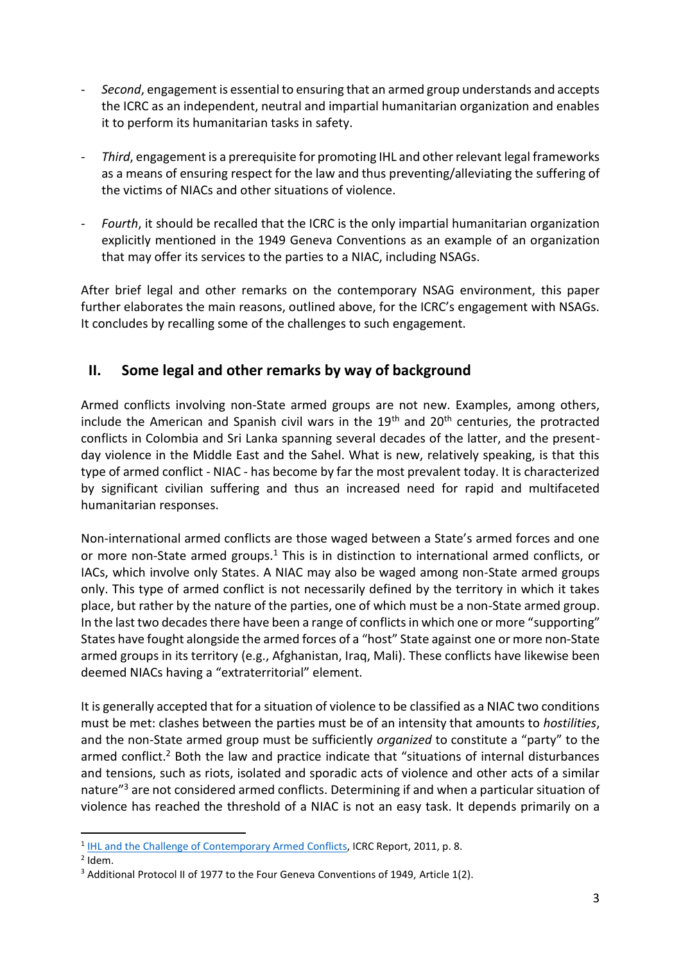- *- Second*, engagement is essential to ensuring that an armed group understands and accepts the ICRC as an independent, neutral and impartial humanitarian organization and enables it to perform its humanitarian tasks in safety.
- *- Third*, engagement is a prerequisite for promoting IHL and other relevant legal frameworks as a means of ensuring respect for the law and thus preventing/alleviating the suffering of the victims of NIACs and other situations of violence.
- *- Fourth*, it should be recalled that the ICRC is the only impartial humanitarian organization explicitly mentioned in the 1949 Geneva Conventions as an example of an organization that may offer its services to the parties to a NIAC, including NSAGs.

After brief legal and other remarks on the contemporary NSAG environment, this paper further elaborates the main reasons, outlined above, for the ICRC's engagement with NSAGs. It concludes by recalling some of the challenges to such engagement.

# <span id="page-2-0"></span>**II. Some legal and other remarks by way of background**

Armed conflicts involving non-State armed groups are not new. Examples, among others, include the American and Spanish civil wars in the  $19<sup>th</sup>$  and  $20<sup>th</sup>$  centuries, the protracted conflicts in Colombia and Sri Lanka spanning several decades of the latter, and the presentday violence in the Middle East and the Sahel. What is new, relatively speaking, is that this type of armed conflict - NIAC - has become by far the most prevalent today. It is characterized by significant civilian suffering and thus an increased need for rapid and multifaceted humanitarian responses.

Non-international armed conflicts are those waged between a State's armed forces and one or more non-State armed groups.<sup>1</sup> This is in distinction to international armed conflicts, or IACs, which involve only States. A NIAC may also be waged among non-State armed groups only. This type of armed conflict is not necessarily defined by the territory in which it takes place, but rather by the nature of the parties, one of which must be a non-State armed group. In the last two decades there have been a range of conflicts in which one or more "supporting" States have fought alongside the armed forces of a "host" State against one or more non-State armed groups in its territory (e.g., Afghanistan, Iraq, Mali). These conflicts have likewise been deemed NIACs having a "extraterritorial" element.

It is generally accepted that for a situation of violence to be classified as a NIAC two conditions must be met: clashes between the parties must be of an intensity that amounts to *hostilities*, and the non-State armed group must be sufficiently *organized* to constitute a "party" to the armed conflict.<sup>2</sup> Both the law and practice indicate that "situations of internal disturbances and tensions, such as riots, isolated and sporadic acts of violence and other acts of a similar nature<sup>"3</sup> are not considered armed conflicts. Determining if and when a particular situation of violence has reached the threshold of a NIAC is not an easy task. It depends primarily on a

<sup>&</sup>lt;sup>1</sup> [IHL and the Challenge of Contemporary Armed Conflicts,](https://www.icrc.org/en/doc/resources/documents/report/31-international-conference-ihl-challenges-report-2011-10-31.htm) ICRC Report, 2011, p. 8.

 $<sup>2</sup>$  Idem.</sup>

<sup>&</sup>lt;sup>3</sup> Additional Protocol II of 1977 to the Four Geneva Conventions of 1949, Article 1(2).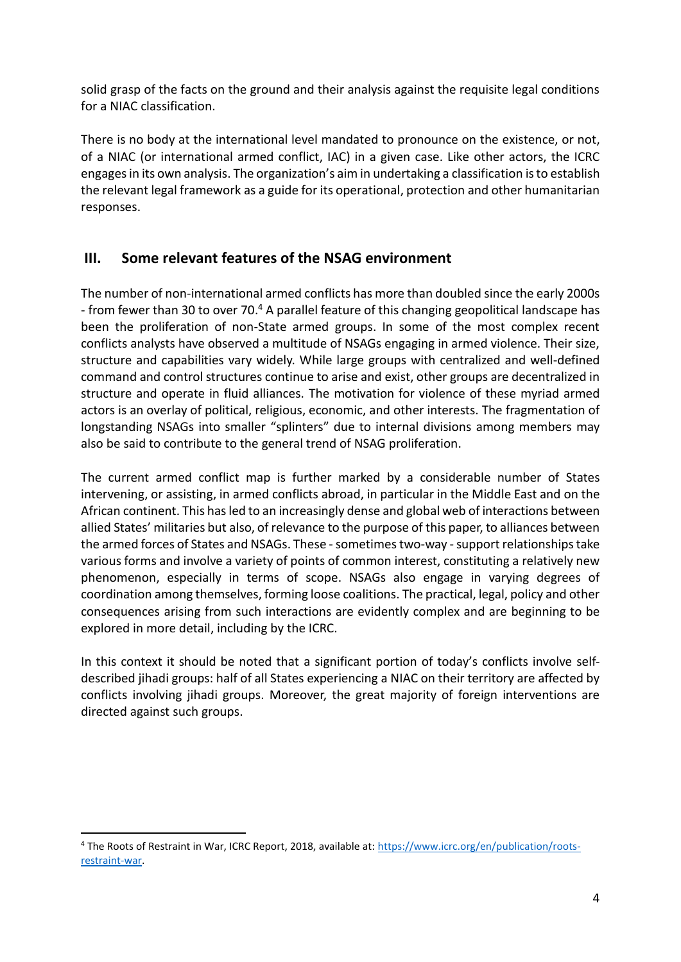solid grasp of the facts on the ground and their analysis against the requisite legal conditions for a NIAC classification.

There is no body at the international level mandated to pronounce on the existence, or not, of a NIAC (or international armed conflict, IAC) in a given case. Like other actors, the ICRC engages in its own analysis. The organization's aim in undertaking a classification is to establish the relevant legal framework as a guide for its operational, protection and other humanitarian responses.

### <span id="page-3-0"></span>**III. Some relevant features of the NSAG environment**

The number of non-international armed conflicts has more than doubled since the early 2000s - from fewer than 30 to over 70.<sup>4</sup> A parallel feature of this changing geopolitical landscape has been the proliferation of non-State armed groups. In some of the most complex recent conflicts analysts have observed a multitude of NSAGs engaging in armed violence. Their size, structure and capabilities vary widely. While large groups with centralized and well-defined command and control structures continue to arise and exist, other groups are decentralized in structure and operate in fluid alliances. The motivation for violence of these myriad armed actors is an overlay of political, religious, economic, and other interests. The fragmentation of longstanding NSAGs into smaller "splinters" due to internal divisions among members may also be said to contribute to the general trend of NSAG proliferation.

The current armed conflict map is further marked by a considerable number of States intervening, or assisting, in armed conflicts abroad, in particular in the Middle East and on the African continent. This has led to an increasingly dense and global web of interactions between allied States' militaries but also, of relevance to the purpose of this paper, to alliances between the armed forces of States and NSAGs. These - sometimes two-way - support relationships take various forms and involve a variety of points of common interest, constituting a relatively new phenomenon, especially in terms of scope. NSAGs also engage in varying degrees of coordination among themselves, forming loose coalitions. The practical, legal, policy and other consequences arising from such interactions are evidently complex and are beginning to be explored in more detail, including by the ICRC.

In this context it should be noted that a significant portion of today's conflicts involve selfdescribed jihadi groups: half of all States experiencing a NIAC on their territory are affected by conflicts involving jihadi groups. Moreover, the great majority of foreign interventions are directed against such groups.

<sup>4</sup> The Roots of Restraint in War, ICRC Report, 2018, available at: [https://www.icrc.org/en/publication/roots](https://www.icrc.org/en/publication/roots-restraint-war)[restraint-war.](https://www.icrc.org/en/publication/roots-restraint-war)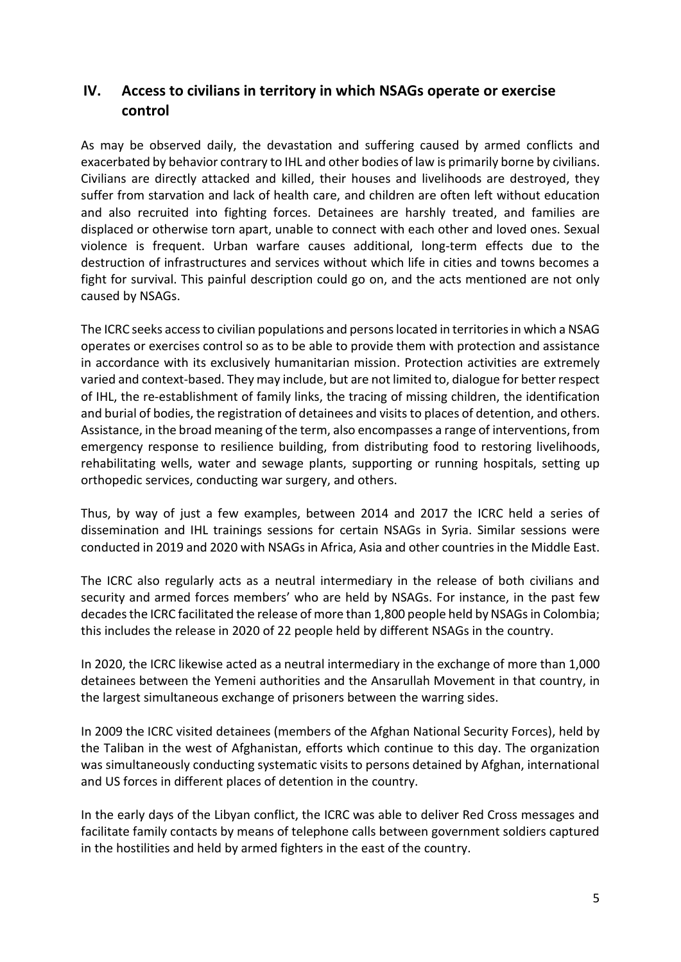## <span id="page-4-0"></span>**IV. Access to civilians in territory in which NSAGs operate or exercise control**

As may be observed daily, the devastation and suffering caused by armed conflicts and exacerbated by behavior contrary to IHL and other bodies of law is primarily borne by civilians. Civilians are directly attacked and killed, their houses and livelihoods are destroyed, they suffer from starvation and lack of health care, and children are often left without education and also recruited into fighting forces. Detainees are harshly treated, and families are displaced or otherwise torn apart, unable to connect with each other and loved ones. Sexual violence is frequent. Urban warfare causes additional, long-term effects due to the destruction of infrastructures and services without which life in cities and towns becomes a fight for survival. This painful description could go on, and the acts mentioned are not only caused by NSAGs.

The ICRC seeks access to civilian populations and persons located in territories in which a NSAG operates or exercises control so as to be able to provide them with protection and assistance in accordance with its exclusively humanitarian mission. Protection activities are extremely varied and context-based. They may include, but are not limited to, dialogue for better respect of IHL, the re-establishment of family links, the tracing of missing children, the identification and burial of bodies, the registration of detainees and visits to places of detention, and others. Assistance, in the broad meaning of the term, also encompasses a range of interventions, from emergency response to resilience building, from distributing food to restoring livelihoods, rehabilitating wells, water and sewage plants, supporting or running hospitals, setting up orthopedic services, conducting war surgery, and others.

Thus, by way of just a few examples, between 2014 and 2017 the ICRC held a series of dissemination and IHL trainings sessions for certain NSAGs in Syria. Similar sessions were conducted in 2019 and 2020 with NSAGs in Africa, Asia and other countries in the Middle East.

The ICRC also regularly acts as a neutral intermediary in the release of both civilians and security and armed forces members' who are held by NSAGs. For instance, in the past few decades the ICRC facilitated the release of more than 1,800 people held by NSAGs in Colombia; this includes the release in 2020 of 22 people held by different NSAGs in the country.

In 2020, the ICRC likewise acted as a neutral intermediary in the exchange of more than 1,000 detainees between the Yemeni authorities and the Ansarullah Movement in that country, in the largest simultaneous exchange of prisoners between the warring sides.

In 2009 the ICRC visited detainees (members of the Afghan National Security Forces), held by the Taliban in the west of Afghanistan, efforts which continue to this day. The organization was simultaneously conducting systematic visits to persons detained by Afghan, international and US forces in different places of detention in the country.

In the early days of the Libyan conflict, the ICRC was able to deliver Red Cross messages and facilitate family contacts by means of telephone calls between government soldiers captured in the hostilities and held by armed fighters in the east of the country.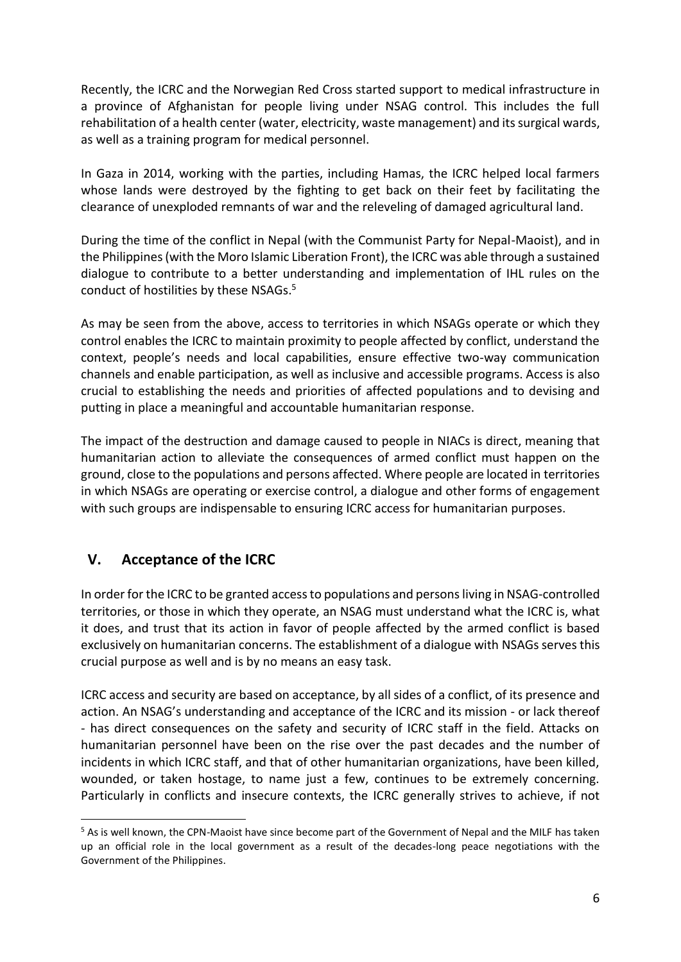Recently, the ICRC and the Norwegian Red Cross started support to medical infrastructure in a province of Afghanistan for people living under NSAG control. This includes the full rehabilitation of a health center (water, electricity, waste management) and its surgical wards, as well as a training program for medical personnel.

In Gaza in 2014, working with the parties, including Hamas, the ICRC helped local farmers whose lands were destroyed by the fighting to get back on their feet by facilitating the clearance of unexploded remnants of war and the releveling of damaged agricultural land.

During the time of the conflict in Nepal (with the Communist Party for Nepal-Maoist), and in the Philippines (with the Moro Islamic Liberation Front), the ICRC was able through a sustained dialogue to contribute to a better understanding and implementation of IHL rules on the conduct of hostilities by these NSAGs. 5

As may be seen from the above, access to territories in which NSAGs operate or which they control enables the ICRC to maintain proximity to people affected by conflict, understand the context, people's needs and local capabilities, ensure effective two-way communication channels and enable participation, as well as inclusive and accessible programs. Access is also crucial to establishing the needs and priorities of affected populations and to devising and putting in place a meaningful and accountable humanitarian response.

The impact of the destruction and damage caused to people in NIACs is direct, meaning that humanitarian action to alleviate the consequences of armed conflict must happen on the ground, close to the populations and persons affected. Where people are located in territories in which NSAGs are operating or exercise control, a dialogue and other forms of engagement with such groups are indispensable to ensuring ICRC access for humanitarian purposes.

### <span id="page-5-0"></span>**V. Acceptance of the ICRC**

**.** 

In order for the ICRC to be granted access to populations and persons living in NSAG-controlled territories, or those in which they operate, an NSAG must understand what the ICRC is, what it does, and trust that its action in favor of people affected by the armed conflict is based exclusively on humanitarian concerns. The establishment of a dialogue with NSAGs serves this crucial purpose as well and is by no means an easy task.

ICRC access and security are based on acceptance, by all sides of a conflict, of its presence and action. An NSAG's understanding and acceptance of the ICRC and its mission - or lack thereof - has direct consequences on the safety and security of ICRC staff in the field. Attacks on humanitarian personnel have been on the rise over the past decades and the number of incidents in which ICRC staff, and that of other humanitarian organizations, have been killed, wounded, or taken hostage, to name just a few, continues to be extremely concerning. Particularly in conflicts and insecure contexts, the ICRC generally strives to achieve, if not

<sup>5</sup> As is well known, the CPN-Maoist have since become part of the Government of Nepal and the MILF has taken up an official role in the local government as a result of the decades-long peace negotiations with the Government of the Philippines.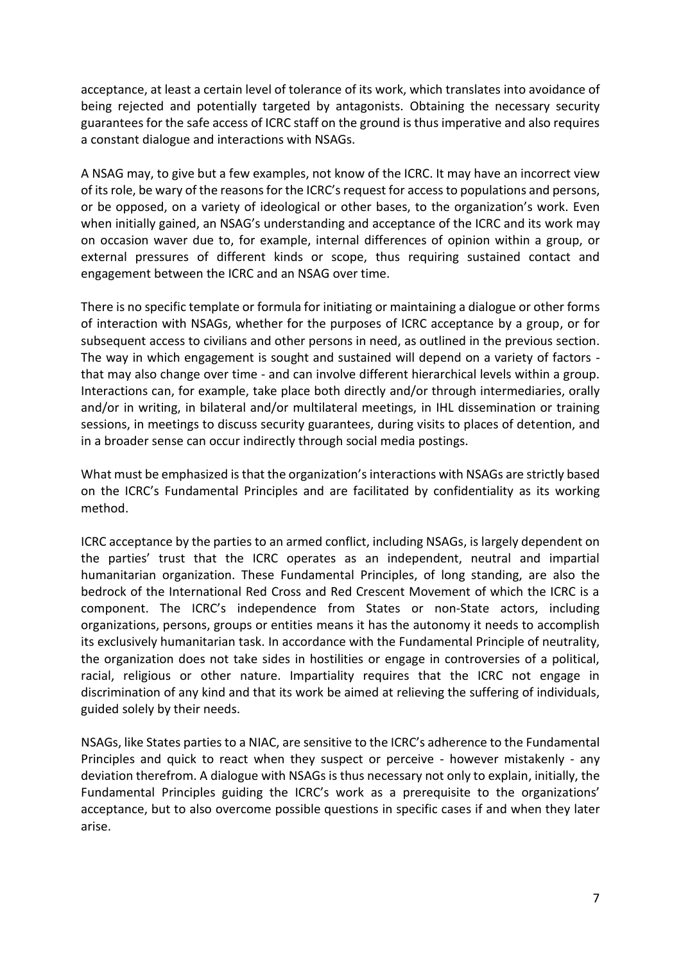acceptance, at least a certain level of tolerance of its work, which translates into avoidance of being rejected and potentially targeted by antagonists. Obtaining the necessary security guarantees for the safe access of ICRC staff on the ground is thus imperative and also requires a constant dialogue and interactions with NSAGs.

A NSAG may, to give but a few examples, not know of the ICRC. It may have an incorrect view of its role, be wary of the reasons for the ICRC's request for access to populations and persons, or be opposed, on a variety of ideological or other bases, to the organization's work. Even when initially gained, an NSAG's understanding and acceptance of the ICRC and its work may on occasion waver due to, for example, internal differences of opinion within a group, or external pressures of different kinds or scope, thus requiring sustained contact and engagement between the ICRC and an NSAG over time.

There is no specific template or formula for initiating or maintaining a dialogue or other forms of interaction with NSAGs, whether for the purposes of ICRC acceptance by a group, or for subsequent access to civilians and other persons in need, as outlined in the previous section. The way in which engagement is sought and sustained will depend on a variety of factors that may also change over time - and can involve different hierarchical levels within a group. Interactions can, for example, take place both directly and/or through intermediaries, orally and/or in writing, in bilateral and/or multilateral meetings, in IHL dissemination or training sessions, in meetings to discuss security guarantees, during visits to places of detention, and in a broader sense can occur indirectly through social media postings.

What must be emphasized is that the organization's interactions with NSAGs are strictly based on the ICRC's Fundamental Principles and are facilitated by confidentiality as its working method.

ICRC acceptance by the parties to an armed conflict, including NSAGs, is largely dependent on the parties' trust that the ICRC operates as an independent, neutral and impartial humanitarian organization. These Fundamental Principles, of long standing, are also the bedrock of the International Red Cross and Red Crescent Movement of which the ICRC is a component. The ICRC's independence from States or non-State actors, including organizations, persons, groups or entities means it has the autonomy it needs to accomplish its exclusively humanitarian task. In accordance with the Fundamental Principle of neutrality, the organization does not take sides in hostilities or engage in controversies of a political, racial, religious or other nature. Impartiality requires that the ICRC not engage in discrimination of any kind and that its work be aimed at relieving the suffering of individuals, guided solely by their needs.

NSAGs, like States parties to a NIAC, are sensitive to the ICRC's adherence to the Fundamental Principles and quick to react when they suspect or perceive - however mistakenly - any deviation therefrom. A dialogue with NSAGs is thus necessary not only to explain, initially, the Fundamental Principles guiding the ICRC's work as a prerequisite to the organizations' acceptance, but to also overcome possible questions in specific cases if and when they later arise.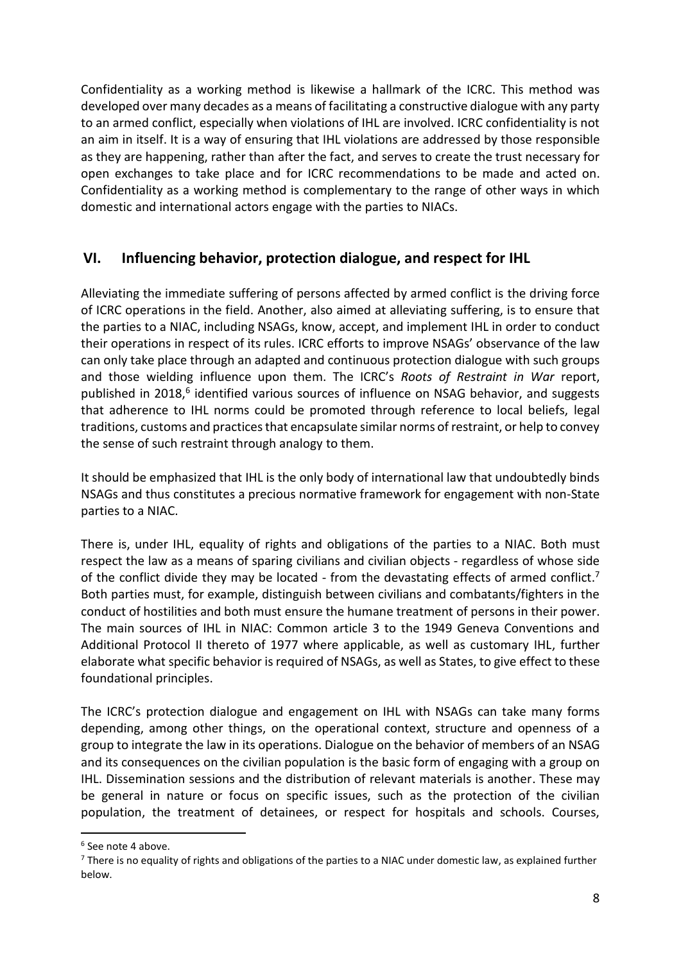Confidentiality as a working method is likewise a hallmark of the ICRC. This method was developed over many decades as a means of facilitating a constructive dialogue with any party to an armed conflict, especially when violations of IHL are involved. ICRC confidentiality is not an aim in itself. It is a way of ensuring that IHL violations are addressed by those responsible as they are happening, rather than after the fact, and serves to create the trust necessary for open exchanges to take place and for ICRC recommendations to be made and acted on. Confidentiality as a working method is complementary to the range of other ways in which domestic and international actors engage with the parties to NIACs.

### <span id="page-7-0"></span>**VI. Influencing behavior, protection dialogue, and respect for IHL**

Alleviating the immediate suffering of persons affected by armed conflict is the driving force of ICRC operations in the field. Another, also aimed at alleviating suffering, is to ensure that the parties to a NIAC, including NSAGs, know, accept, and implement IHL in order to conduct their operations in respect of its rules. ICRC efforts to improve NSAGs' observance of the law can only take place through an adapted and continuous protection dialogue with such groups and those wielding influence upon them. The ICRC's *Roots of Restraint in War* report, published in 2018,<sup>6</sup> identified various sources of influence on NSAG behavior, and suggests that adherence to IHL norms could be promoted through reference to local beliefs, legal traditions, customs and practices that encapsulate similar norms of restraint, or help to convey the sense of such restraint through analogy to them.

It should be emphasized that IHL is the only body of international law that undoubtedly binds NSAGs and thus constitutes a precious normative framework for engagement with non-State parties to a NIAC.

There is, under IHL, equality of rights and obligations of the parties to a NIAC. Both must respect the law as a means of sparing civilians and civilian objects - regardless of whose side of the conflict divide they may be located - from the devastating effects of armed conflict.<sup>7</sup> Both parties must, for example, distinguish between civilians and combatants/fighters in the conduct of hostilities and both must ensure the humane treatment of persons in their power. The main sources of IHL in NIAC: Common article 3 to the 1949 Geneva Conventions and Additional Protocol II thereto of 1977 where applicable, as well as customary IHL, further elaborate what specific behavior is required of NSAGs, as well as States, to give effect to these foundational principles.

The ICRC's protection dialogue and engagement on IHL with NSAGs can take many forms depending, among other things, on the operational context, structure and openness of a group to integrate the law in its operations. Dialogue on the behavior of members of an NSAG and its consequences on the civilian population is the basic form of engaging with a group on IHL. Dissemination sessions and the distribution of relevant materials is another. These may be general in nature or focus on specific issues, such as the protection of the civilian population, the treatment of detainees, or respect for hospitals and schools. Courses,

<sup>6</sup> See note 4 above.

 $7$  There is no equality of rights and obligations of the parties to a NIAC under domestic law, as explained further below.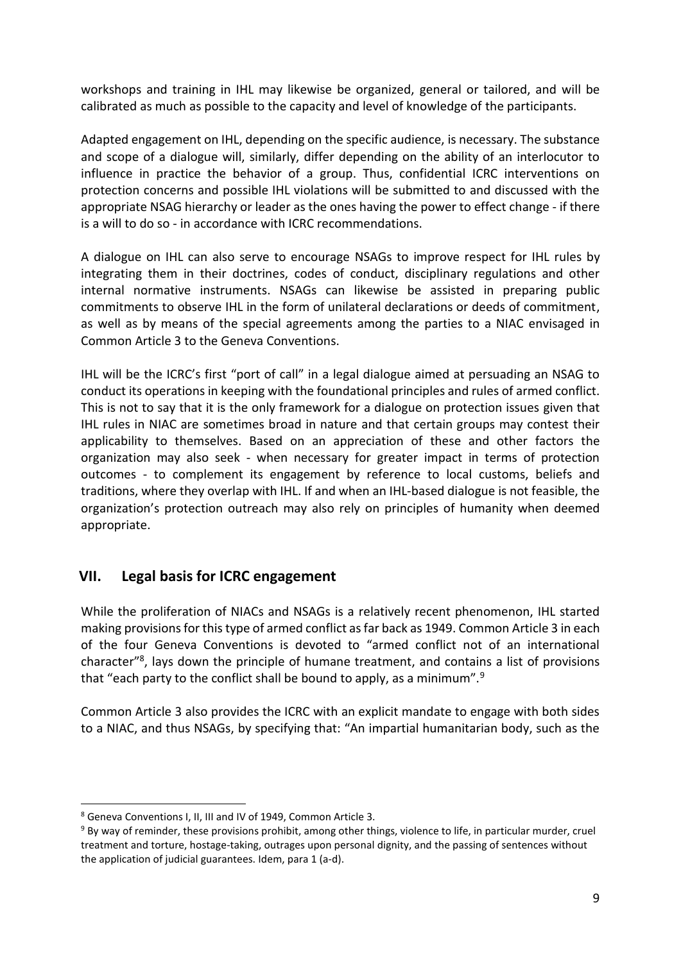workshops and training in IHL may likewise be organized, general or tailored, and will be calibrated as much as possible to the capacity and level of knowledge of the participants.

Adapted engagement on IHL, depending on the specific audience, is necessary. The substance and scope of a dialogue will, similarly, differ depending on the ability of an interlocutor to influence in practice the behavior of a group. Thus, confidential ICRC interventions on protection concerns and possible IHL violations will be submitted to and discussed with the appropriate NSAG hierarchy or leader as the ones having the power to effect change - if there is a will to do so - in accordance with ICRC recommendations.

A dialogue on IHL can also serve to encourage NSAGs to improve respect for IHL rules by integrating them in their doctrines, codes of conduct, disciplinary regulations and other internal normative instruments. NSAGs can likewise be assisted in preparing public commitments to observe IHL in the form of unilateral declarations or deeds of commitment, as well as by means of the special agreements among the parties to a NIAC envisaged in Common Article 3 to the Geneva Conventions.

IHL will be the ICRC's first "port of call" in a legal dialogue aimed at persuading an NSAG to conduct its operations in keeping with the foundational principles and rules of armed conflict. This is not to say that it is the only framework for a dialogue on protection issues given that IHL rules in NIAC are sometimes broad in nature and that certain groups may contest their applicability to themselves. Based on an appreciation of these and other factors the organization may also seek - when necessary for greater impact in terms of protection outcomes - to complement its engagement by reference to local customs, beliefs and traditions, where they overlap with IHL. If and when an IHL-based dialogue is not feasible, the organization's protection outreach may also rely on principles of humanity when deemed appropriate.

#### <span id="page-8-0"></span>**VII. Legal basis for ICRC engagement**

While the proliferation of NIACs and NSAGs is a relatively recent phenomenon, IHL started making provisions for this type of armed conflict as far back as 1949. Common Article 3 in each of the four Geneva Conventions is devoted to "armed conflict not of an international character"<sup>8</sup> , lays down the principle of humane treatment, and contains a list of provisions that "each party to the conflict shall be bound to apply, as a minimum". $9$ 

Common Article 3 also provides the ICRC with an explicit mandate to engage with both sides to a NIAC, and thus NSAGs, by specifying that: "An impartial humanitarian body, such as the

<sup>8</sup> Geneva Conventions I, II, III and IV of 1949, Common Article 3.

<sup>9</sup> By way of reminder, these provisions prohibit, among other things, violence to life, in particular murder, cruel treatment and torture, hostage-taking, outrages upon personal dignity, and the passing of sentences without the application of judicial guarantees. Idem, para 1 (a-d).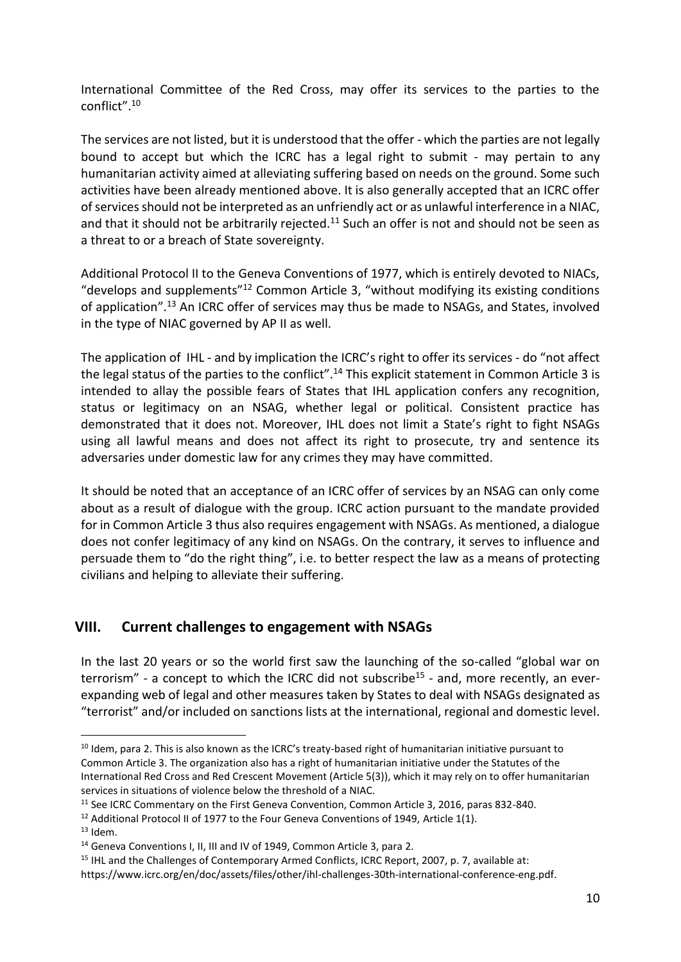International Committee of the Red Cross, may offer its services to the parties to the conflict".<sup>10</sup>

The services are not listed, but it is understood that the offer - which the parties are not legally bound to accept but which the ICRC has a legal right to submit - may pertain to any humanitarian activity aimed at alleviating suffering based on needs on the ground. Some such activities have been already mentioned above. It is also generally accepted that an ICRC offer of services should not be interpreted as an unfriendly act or as unlawful interference in a NIAC, and that it should not be arbitrarily rejected.<sup>11</sup> Such an offer is not and should not be seen as a threat to or a breach of State sovereignty.

Additional Protocol II to the Geneva Conventions of 1977, which is entirely devoted to NIACs, "develops and supplements"<sup>12</sup> Common Article 3, "without modifying its existing conditions of application".<sup>13</sup> An ICRC offer of services may thus be made to NSAGs, and States, involved in the type of NIAC governed by AP II as well.

The application of IHL - and by implication the ICRC's right to offer its services - do "not affect the legal status of the parties to the conflict".<sup>14</sup> This explicit statement in Common Article 3 is intended to allay the possible fears of States that IHL application confers any recognition, status or legitimacy on an NSAG, whether legal or political. Consistent practice has demonstrated that it does not. Moreover, IHL does not limit a State's right to fight NSAGs using all lawful means and does not affect its right to prosecute, try and sentence its adversaries under domestic law for any crimes they may have committed.

It should be noted that an acceptance of an ICRC offer of services by an NSAG can only come about as a result of dialogue with the group. ICRC action pursuant to the mandate provided for in Common Article 3 thus also requires engagement with NSAGs. As mentioned, a dialogue does not confer legitimacy of any kind on NSAGs. On the contrary, it serves to influence and persuade them to "do the right thing", i.e. to better respect the law as a means of protecting civilians and helping to alleviate their suffering.

#### <span id="page-9-0"></span>**VIII. Current challenges to engagement with NSAGs**

In the last 20 years or so the world first saw the launching of the so-called "global war on terrorism" - a concept to which the ICRC did not subscribe<sup>15</sup> - and, more recently, an everexpanding web of legal and other measures taken by States to deal with NSAGs designated as "terrorist" and/or included on sanctions lists at the international, regional and domestic level.

<sup>&</sup>lt;sup>10</sup> Idem, para 2. This is also known as the ICRC's treaty-based right of humanitarian initiative pursuant to Common Article 3. The organization also has a right of humanitarian initiative under the Statutes of the International Red Cross and Red Crescent Movement (Article 5(3)), which it may rely on to offer humanitarian services in situations of violence below the threshold of a NIAC.

<sup>&</sup>lt;sup>11</sup> See ICRC Commentary on the First Geneva Convention, Common Article 3, 2016, paras 832-840.

<sup>&</sup>lt;sup>12</sup> Additional Protocol II of 1977 to the Four Geneva Conventions of 1949, Article 1(1).

 $13$  Idem.

<sup>&</sup>lt;sup>14</sup> Geneva Conventions I, II, III and IV of 1949, Common Article 3, para 2.

<sup>&</sup>lt;sup>15</sup> IHL and the Challenges of Contemporary Armed Conflicts, ICRC Report, 2007, p. 7, available at:

https://www.icrc.org/en/doc/assets/files/other/ihl-challenges-30th-international-conference-eng.pdf.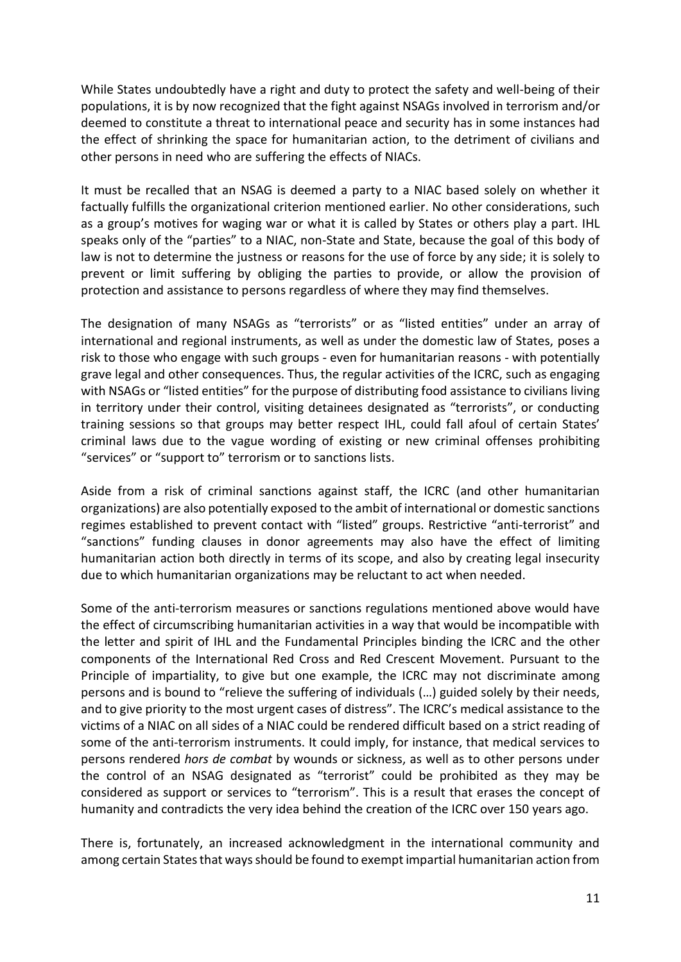While States undoubtedly have a right and duty to protect the safety and well-being of their populations, it is by now recognized that the fight against NSAGs involved in terrorism and/or deemed to constitute a threat to international peace and security has in some instances had the effect of shrinking the space for humanitarian action, to the detriment of civilians and other persons in need who are suffering the effects of NIACs.

It must be recalled that an NSAG is deemed a party to a NIAC based solely on whether it factually fulfills the organizational criterion mentioned earlier. No other considerations, such as a group's motives for waging war or what it is called by States or others play a part. IHL speaks only of the "parties" to a NIAC, non-State and State, because the goal of this body of law is not to determine the justness or reasons for the use of force by any side; it is solely to prevent or limit suffering by obliging the parties to provide, or allow the provision of protection and assistance to persons regardless of where they may find themselves.

The designation of many NSAGs as "terrorists" or as "listed entities" under an array of international and regional instruments, as well as under the domestic law of States, poses a risk to those who engage with such groups - even for humanitarian reasons - with potentially grave legal and other consequences. Thus, the regular activities of the ICRC, such as engaging with NSAGs or "listed entities" for the purpose of distributing food assistance to civilians living in territory under their control, visiting detainees designated as "terrorists", or conducting training sessions so that groups may better respect IHL, could fall afoul of certain States' criminal laws due to the vague wording of existing or new criminal offenses prohibiting "services" or "support to" terrorism or to sanctions lists.

Aside from a risk of criminal sanctions against staff, the ICRC (and other humanitarian organizations) are also potentially exposed to the ambit of international or domestic sanctions regimes established to prevent contact with "listed" groups. Restrictive "anti-terrorist" and "sanctions" funding clauses in donor agreements may also have the effect of limiting humanitarian action both directly in terms of its scope, and also by creating legal insecurity due to which humanitarian organizations may be reluctant to act when needed.

Some of the anti-terrorism measures or sanctions regulations mentioned above would have the effect of circumscribing humanitarian activities in a way that would be incompatible with the letter and spirit of IHL and the Fundamental Principles binding the ICRC and the other components of the International Red Cross and Red Crescent Movement. Pursuant to the Principle of impartiality, to give but one example, the ICRC may not discriminate among persons and is bound to "relieve the suffering of individuals (…) guided solely by their needs, and to give priority to the most urgent cases of distress". The ICRC's medical assistance to the victims of a NIAC on all sides of a NIAC could be rendered difficult based on a strict reading of some of the anti-terrorism instruments. It could imply, for instance, that medical services to persons rendered *hors de combat* by wounds or sickness, as well as to other persons under the control of an NSAG designated as "terrorist" could be prohibited as they may be considered as support or services to "terrorism". This is a result that erases the concept of humanity and contradicts the very idea behind the creation of the ICRC over 150 years ago.

There is, fortunately, an increased acknowledgment in the international community and among certain States that ways should be found to exempt impartial humanitarian action from